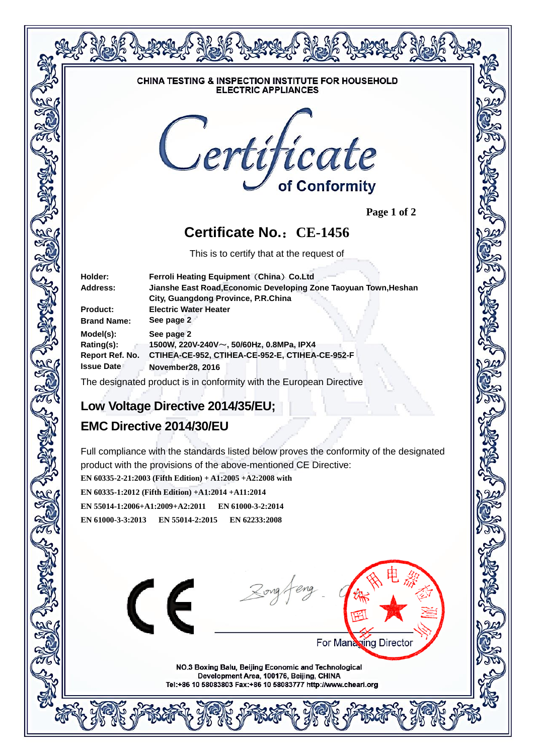

 **Page 1 of 2**

## **Certificate No.**:**CE-1456**

This is to certify that at the request of

| Holder:            | Ferroli Heating Equipment (China) Co.Ltd                                                                        |
|--------------------|-----------------------------------------------------------------------------------------------------------------|
| Address:           | Jianshe East Road, Economic Developing Zone Taoyuan Town, Heshan                                                |
|                    | City, Guangdong Province, P.R.China                                                                             |
| <b>Product:</b>    | <b>Electric Water Heater</b>                                                                                    |
| <b>Brand Name:</b> | See page 2                                                                                                      |
| Model(s):          | See page 2                                                                                                      |
| Rating(s):         | 1500W, 220V-240V~, 50/60Hz, 0.8MPa, IPX4                                                                        |
| Report Ref. No.    | CTIHEA-CE-952, CTIHEA-CE-952-E, CTIHEA-CE-952-F                                                                 |
| <b>Issue Date</b>  | <b>November28, 2016</b>                                                                                         |
|                    | the contract of the contract of the contract of the contract of the contract of the contract of the contract of |

The designated product is in conformity with the European Directive

### **Low Voltage Directive 2014/35/EU;**

# **EMC Directive 2014/30/EU**

Full compliance with the standards listed below proves the conformity of the designated product with the provisions of the above-mentioned CE Directive:

**EN 60335-2-21:2003 (Fifth Edition) + A1:2005 +A2:2008 with** 

**EN 60335-1:2012 (Fifth Edition) +A1:2014 +A11:2014**

**EN 55014-1:2006+A1:2009+A2:2011 EN 61000-3-2:2014 EN 61000-3-3:2013 EN 55014-2:2015 EN 62233:2008**



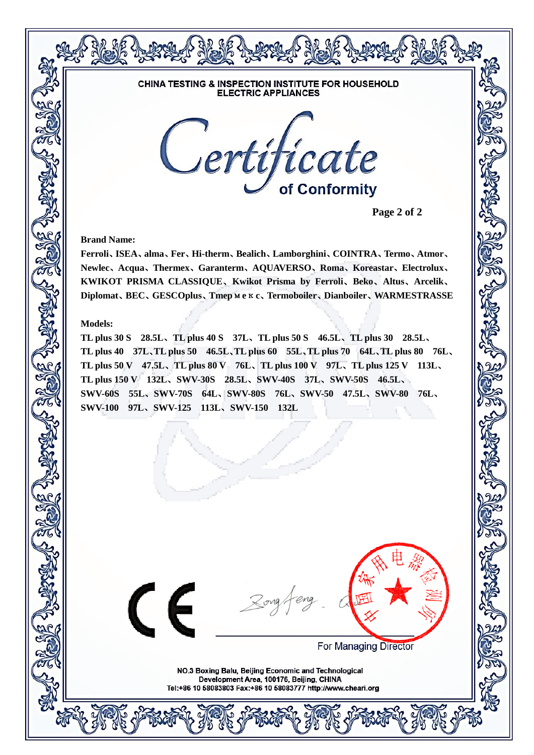

**Page 2 of 2**

**Brand Name:**

**Ferroli**、**ISEA**、**alma**、**Fer**、**Hi-therm**、**Bealich**、**Lamborghini**、**COINTRA**、**Termo**、**Atmor**、 **Newlec**、**Acqua**、**Thermex**、**Garanterm**、**AQUAVERSO**、**Roma**、**Koreastar**、**Electrolux**、 **KWIKOT PRISMA CLASSIQUE**、**Kwikot Prisma by Ferroli**、**Beko**、**Altus**、**Arcelik**、 **Diplomat**、**BEC**、**GESCOplus**、**Tmep**м**e**к**c**、**Termoboiler**、**Dianboiler**、**WARMESTRASSE**

#### **Models:**

**TL plus 30 S 28.5L**、**TL plus 40 S 37L**、**TL plus 50 S 46.5L**、**TL plus 30 28.5L**、 **TL plus 40 37L**、**TL plus 50 46.5L**、**TL plus 60 55L**、**TL plus 70 64L**、**TL plus 80 76L**、 **TL plus 50 V 47.5L**、**TL plus 80 V 76L**、**TL plus 100 V 97L**、**TL plus 125 V 113L**、 **TL plus 150 V 132L**、**SWV-30S 28.5L**、**SWV-40S 37L**、**SWV-50S 46.5L**、 **SWV-60S 55L**、**SWV-70S 64L**、**SWV-80S 76L**、**SWV-50 47.5L**、**SWV-80 76L**、 **SWV-100 97L**、**SWV-125 113L**、**SWV-150 132L**

CE



**For Managing Director**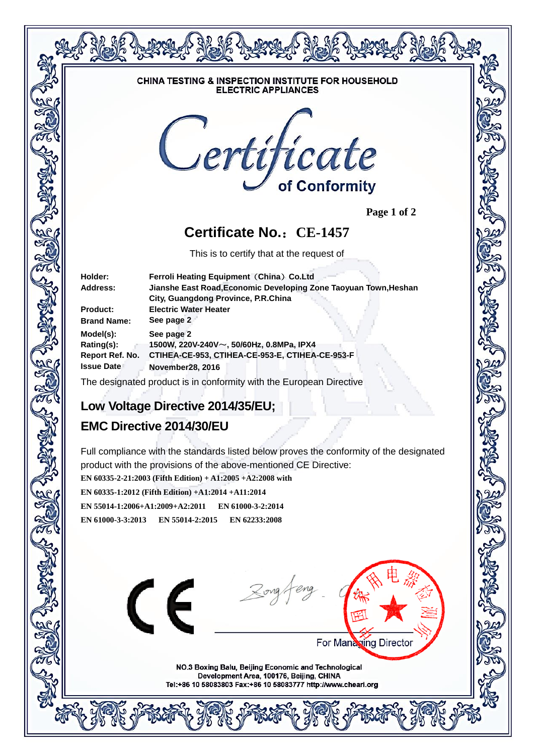

 **Page 1 of 2**

## **Certificate No.**:**CE-1457**

This is to certify that at the request of

| Holder:            | Ferroli Heating Equipment (China) Co.Ltd                         |
|--------------------|------------------------------------------------------------------|
| Address:           | Jianshe East Road, Economic Developing Zone Taoyuan Town, Heshan |
|                    | City, Guangdong Province, P.R.China                              |
| <b>Product:</b>    | <b>Electric Water Heater</b>                                     |
| <b>Brand Name:</b> | See page 2                                                       |
| Model(s):          | See page 2                                                       |
| Rating(s):         | 1500W, 220V-240V~, 50/60Hz, 0.8MPa, IPX4                         |
| Report Ref. No.    | CTIHEA-CE-953, CTIHEA-CE-953-E, CTIHEA-CE-953-F                  |
| <b>Issue Date</b>  | <b>November28, 2016</b>                                          |
|                    |                                                                  |

The designated product is in conformity with the European Directive

### **Low Voltage Directive 2014/35/EU;**

# **EMC Directive 2014/30/EU**

Full compliance with the standards listed below proves the conformity of the designated product with the provisions of the above-mentioned CE Directive:

**EN 60335-2-21:2003 (Fifth Edition) + A1:2005 +A2:2008 with** 

**EN 60335-1:2012 (Fifth Edition) +A1:2014 +A11:2014**

**EN 55014-1:2006+A1:2009+A2:2011 EN 61000-3-2:2014 EN 61000-3-3:2013 EN 55014-2:2015 EN 62233:2008**